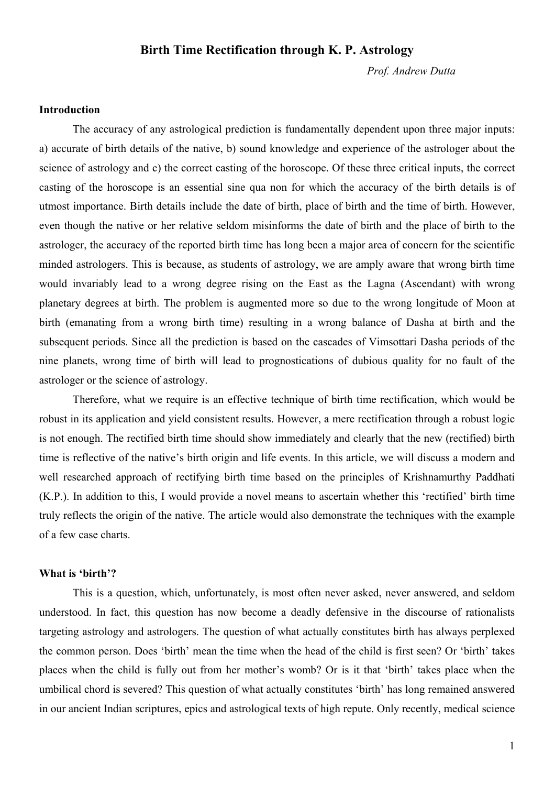# **Birth Time Rectification through K. P. Astrology**

*Prof. Andrew Dutta* 

### **Introduction**

The accuracy of any astrological prediction is fundamentally dependent upon three major inputs: a) accurate of birth details of the native, b) sound knowledge and experience of the astrologer about the science of astrology and c) the correct casting of the horoscope. Of these three critical inputs, the correct casting of the horoscope is an essential sine qua non for which the accuracy of the birth details is of utmost importance. Birth details include the date of birth, place of birth and the time of birth. However, even though the native or her relative seldom misinforms the date of birth and the place of birth to the astrologer, the accuracy of the reported birth time has long been a major area of concern for the scientific minded astrologers. This is because, as students of astrology, we are amply aware that wrong birth time would invariably lead to a wrong degree rising on the East as the Lagna (Ascendant) with wrong planetary degrees at birth. The problem is augmented more so due to the wrong longitude of Moon at birth (emanating from a wrong birth time) resulting in a wrong balance of Dasha at birth and the subsequent periods. Since all the prediction is based on the cascades of Vimsottari Dasha periods of the nine planets, wrong time of birth will lead to prognostications of dubious quality for no fault of the astrologer or the science of astrology.

Therefore, what we require is an effective technique of birth time rectification, which would be robust in its application and yield consistent results. However, a mere rectification through a robust logic is not enough. The rectified birth time should show immediately and clearly that the new (rectified) birth time is reflective of the native's birth origin and life events. In this article, we will discuss a modern and well researched approach of rectifying birth time based on the principles of Krishnamurthy Paddhati (K.P.). In addition to this, I would provide a novel means to ascertain whether this 'rectified' birth time truly reflects the origin of the native. The article would also demonstrate the techniques with the example of a few case charts.

#### **What is 'birth'?**

This is a question, which, unfortunately, is most often never asked, never answered, and seldom understood. In fact, this question has now become a deadly defensive in the discourse of rationalists targeting astrology and astrologers. The question of what actually constitutes birth has always perplexed the common person. Does 'birth' mean the time when the head of the child is first seen? Or 'birth' takes places when the child is fully out from her mother's womb? Or is it that 'birth' takes place when the umbilical chord is severed? This question of what actually constitutes 'birth' has long remained answered in our ancient Indian scriptures, epics and astrological texts of high repute. Only recently, medical science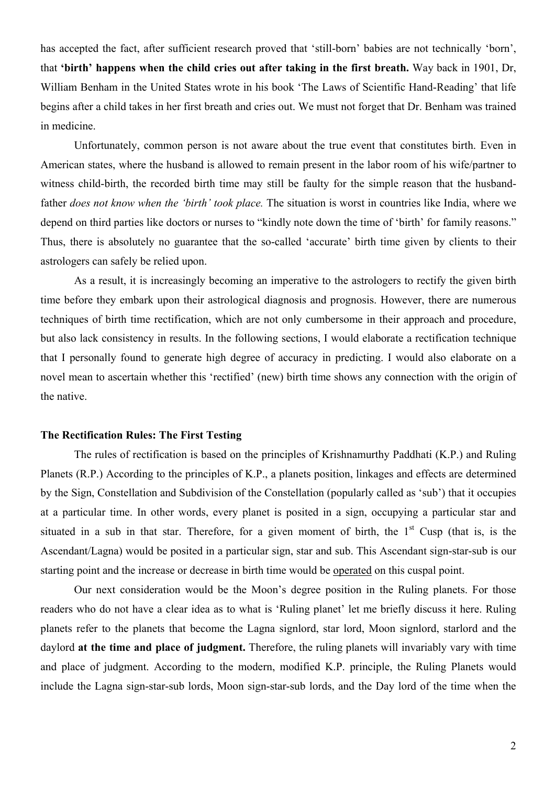has accepted the fact, after sufficient research proved that 'still-born' babies are not technically 'born', that **'birth' happens when the child cries out after taking in the first breath.** Way back in 1901, Dr, William Benham in the United States wrote in his book 'The Laws of Scientific Hand-Reading' that life begins after a child takes in her first breath and cries out. We must not forget that Dr. Benham was trained in medicine.

Unfortunately, common person is not aware about the true event that constitutes birth. Even in American states, where the husband is allowed to remain present in the labor room of his wife/partner to witness child-birth, the recorded birth time may still be faulty for the simple reason that the husbandfather *does not know when the 'birth' took place.* The situation is worst in countries like India, where we depend on third parties like doctors or nurses to "kindly note down the time of 'birth' for family reasons." Thus, there is absolutely no guarantee that the so-called 'accurate' birth time given by clients to their astrologers can safely be relied upon.

As a result, it is increasingly becoming an imperative to the astrologers to rectify the given birth time before they embark upon their astrological diagnosis and prognosis. However, there are numerous techniques of birth time rectification, which are not only cumbersome in their approach and procedure, but also lack consistency in results. In the following sections, I would elaborate a rectification technique that I personally found to generate high degree of accuracy in predicting. I would also elaborate on a novel mean to ascertain whether this 'rectified' (new) birth time shows any connection with the origin of the native.

### **The Rectification Rules: The First Testing**

The rules of rectification is based on the principles of Krishnamurthy Paddhati (K.P.) and Ruling Planets (R.P.) According to the principles of K.P., a planets position, linkages and effects are determined by the Sign, Constellation and Subdivision of the Constellation (popularly called as 'sub') that it occupies at a particular time. In other words, every planet is posited in a sign, occupying a particular star and situated in a sub in that star. Therefore, for a given moment of birth, the  $1<sup>st</sup>$  Cusp (that is, is the Ascendant/Lagna) would be posited in a particular sign, star and sub. This Ascendant sign-star-sub is our starting point and the increase or decrease in birth time would be operated on this cuspal point.

Our next consideration would be the Moon's degree position in the Ruling planets. For those readers who do not have a clear idea as to what is 'Ruling planet' let me briefly discuss it here. Ruling planets refer to the planets that become the Lagna signlord, star lord, Moon signlord, starlord and the daylord **at the time and place of judgment.** Therefore, the ruling planets will invariably vary with time and place of judgment. According to the modern, modified K.P. principle, the Ruling Planets would include the Lagna sign-star-sub lords, Moon sign-star-sub lords, and the Day lord of the time when the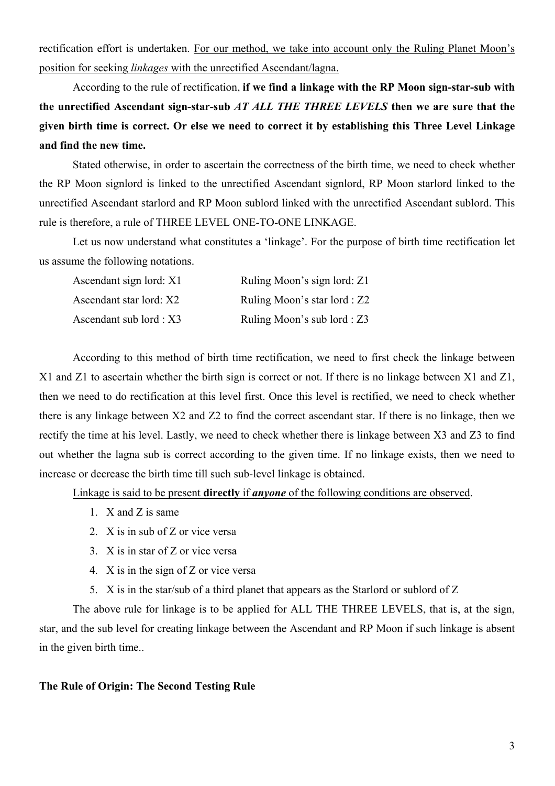rectification effort is undertaken. For our method, we take into account only the Ruling Planet Moon's position for seeking *linkages* with the unrectified Ascendant/lagna.

According to the rule of rectification, **if we find a linkage with the RP Moon sign-star-sub with the unrectified Ascendant sign-star-sub** *AT ALL THE THREE LEVELS* **then we are sure that the given birth time is correct. Or else we need to correct it by establishing this Three Level Linkage and find the new time.** 

Stated otherwise, in order to ascertain the correctness of the birth time, we need to check whether the RP Moon signlord is linked to the unrectified Ascendant signlord, RP Moon starlord linked to the unrectified Ascendant starlord and RP Moon sublord linked with the unrectified Ascendant sublord. This rule is therefore, a rule of THREE LEVEL ONE-TO-ONE LINKAGE.

Let us now understand what constitutes a 'linkage'. For the purpose of birth time rectification let us assume the following notations.

| Ascendant sign lord: X1 | Ruling Moon's sign lord: Z1  |
|-------------------------|------------------------------|
| Ascendant star lord: X2 | Ruling Moon's star lord : Z2 |
| Ascendant sub lord : X3 | Ruling Moon's sub lord : Z3  |

According to this method of birth time rectification, we need to first check the linkage between X1 and Z1 to ascertain whether the birth sign is correct or not. If there is no linkage between X1 and Z1, then we need to do rectification at this level first. Once this level is rectified, we need to check whether there is any linkage between X2 and Z2 to find the correct ascendant star. If there is no linkage, then we rectify the time at his level. Lastly, we need to check whether there is linkage between X3 and Z3 to find out whether the lagna sub is correct according to the given time. If no linkage exists, then we need to increase or decrease the birth time till such sub-level linkage is obtained.

Linkage is said to be present **directly** if *anyone* of the following conditions are observed.

- 1. X and Z is same
- 2. X is in sub of Z or vice versa
- 3. X is in star of Z or vice versa
- 4. X is in the sign of Z or vice versa
- 5. X is in the star/sub of a third planet that appears as the Starlord or sublord of Z

The above rule for linkage is to be applied for ALL THE THREE LEVELS, that is, at the sign, star, and the sub level for creating linkage between the Ascendant and RP Moon if such linkage is absent in the given birth time..

#### **The Rule of Origin: The Second Testing Rule**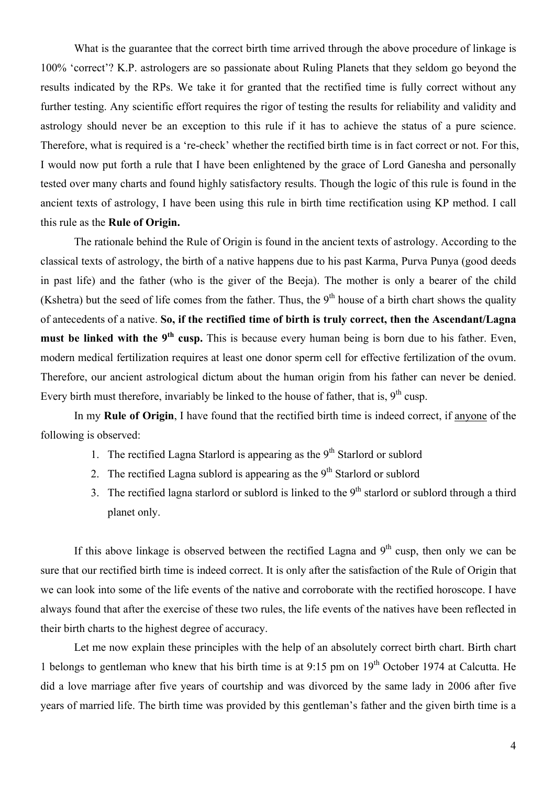What is the guarantee that the correct birth time arrived through the above procedure of linkage is 100% 'correct'? K.P. astrologers are so passionate about Ruling Planets that they seldom go beyond the results indicated by the RPs. We take it for granted that the rectified time is fully correct without any further testing. Any scientific effort requires the rigor of testing the results for reliability and validity and astrology should never be an exception to this rule if it has to achieve the status of a pure science. Therefore, what is required is a 're-check' whether the rectified birth time is in fact correct or not. For this, I would now put forth a rule that I have been enlightened by the grace of Lord Ganesha and personally tested over many charts and found highly satisfactory results. Though the logic of this rule is found in the ancient texts of astrology, I have been using this rule in birth time rectification using KP method. I call this rule as the **Rule of Origin.**

The rationale behind the Rule of Origin is found in the ancient texts of astrology. According to the classical texts of astrology, the birth of a native happens due to his past Karma, Purva Punya (good deeds in past life) and the father (who is the giver of the Beeja). The mother is only a bearer of the child (Kshetra) but the seed of life comes from the father. Thus, the  $9<sup>th</sup>$  house of a birth chart shows the quality of antecedents of a native. **So, if the rectified time of birth is truly correct, then the Ascendant/Lagna must be linked with the 9<sup>th</sup> cusp.** This is because every human being is born due to his father. Even, modern medical fertilization requires at least one donor sperm cell for effective fertilization of the ovum. Therefore, our ancient astrological dictum about the human origin from his father can never be denied. Every birth must therefore, invariably be linked to the house of father, that is,  $9<sup>th</sup>$  cusp.

In my **Rule of Origin**, I have found that the rectified birth time is indeed correct, if anyone of the following is observed:

- 1. The rectified Lagna Starlord is appearing as the  $9<sup>th</sup>$  Starlord or sublord
- 2. The rectified Lagna sublord is appearing as the  $9<sup>th</sup>$  Starlord or sublord
- 3. The rectified lagna starlord or sublord is linked to the  $9<sup>th</sup>$  starlord or sublord through a third planet only.

If this above linkage is observed between the rectified Lagna and  $9<sup>th</sup>$  cusp, then only we can be sure that our rectified birth time is indeed correct. It is only after the satisfaction of the Rule of Origin that we can look into some of the life events of the native and corroborate with the rectified horoscope. I have always found that after the exercise of these two rules, the life events of the natives have been reflected in their birth charts to the highest degree of accuracy.

Let me now explain these principles with the help of an absolutely correct birth chart. Birth chart 1 belongs to gentleman who knew that his birth time is at 9:15 pm on 19<sup>th</sup> October 1974 at Calcutta. He did a love marriage after five years of courtship and was divorced by the same lady in 2006 after five years of married life. The birth time was provided by this gentleman's father and the given birth time is a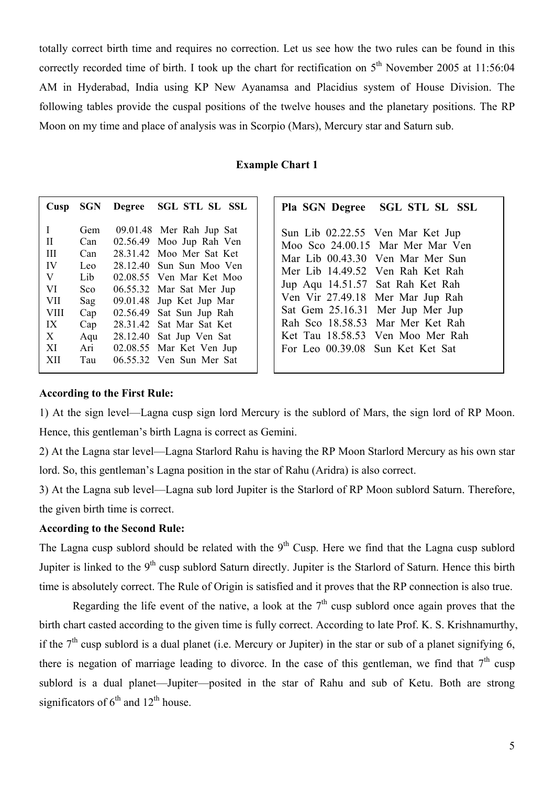totally correct birth time and requires no correction. Let us see how the two rules can be found in this correctly recorded time of birth. I took up the chart for rectification on  $5<sup>th</sup>$  November 2005 at 11:56:04 AM in Hyderabad, India using KP New Ayanamsa and Placidius system of House Division. The following tables provide the cuspal positions of the twelve houses and the planetary positions. The RP Moon on my time and place of analysis was in Scorpio (Mars), Mercury star and Saturn sub.

#### **Example Chart 1**

| Cusp        | <b>SGN</b> | <b>Degree</b> | <b>SGL STL SL SSL</b> |
|-------------|------------|---------------|-----------------------|
| L           | Gem        | 09.01.48      | Mer Rah Jup Sat       |
| П           | Can        | 02.56.49      | Moo Jup Rah Ven       |
| Ш           | Can        | 28.31.42      | Moo Mer Sat Ket       |
| IV          | Leo        | 28.12.40      | Sun Sun Moo Ven       |
| V           | Lib        | 02.08.55      | Ven Mar Ket Moo       |
| VI          | Sco        | 06.55.32      | Mar Sat Mer Jup       |
| <b>VII</b>  | Sag        | 09.01.48      | Jup Ket Jup Mar       |
| <b>VIII</b> | Cap        | 02.56.49      | Sat Sun Jup Rah       |
| IX          | Cap        | 28.31.42      | Sat Mar Sat Ket       |
| X           | Aqu        | 28.12.40      | Sat Jup Ven Sat       |
| XI          | Ari        | 02.08.55      | Mar Ket Ven Jup       |
| XII         | Tau        | 06 55 32      | Ven Sun Mer Sat       |

|                                  | Pla SGN Degree SGL STL SL SSL    |
|----------------------------------|----------------------------------|
| Sun Lib 02.22.55 Ven Mar Ket Jup | Moo Sco 24.00.15 Mar Mer Mar Ven |
| Mer Lib 14 49 52 Ven Rah Ket Rah | Mar Lib 00.43.30 Ven Mar Mer Sun |
| Jup Aqu 14.51.57 Sat Rah Ket Rah |                                  |
| Ven Vir 27.49.18 Mer Mar Jup Rah |                                  |
| Rah Sco 18.58.53 Mar Mer Ket Rah |                                  |
| For Leo 00.39.08 Sun Ket Ket Sat | Ket Tau 18.58.53 Ven Moo Mer Rah |
| Sat Gem 25.16.31 Mer Jup Mer Jup |                                  |

#### **According to the First Rule:**

1) At the sign level—Lagna cusp sign lord Mercury is the sublord of Mars, the sign lord of RP Moon. Hence, this gentleman's birth Lagna is correct as Gemini.

2) At the Lagna star level—Lagna Starlord Rahu is having the RP Moon Starlord Mercury as his own star lord. So, this gentleman's Lagna position in the star of Rahu (Aridra) is also correct.

3) At the Lagna sub level—Lagna sub lord Jupiter is the Starlord of RP Moon sublord Saturn. Therefore, the given birth time is correct.

## **According to the Second Rule:**

The Lagna cusp sublord should be related with the  $9<sup>th</sup>$  Cusp. Here we find that the Lagna cusp sublord Jupiter is linked to the 9<sup>th</sup> cusp sublord Saturn directly. Jupiter is the Starlord of Saturn. Hence this birth time is absolutely correct. The Rule of Origin is satisfied and it proves that the RP connection is also true.

Regarding the life event of the native, a look at the  $7<sup>th</sup>$  cusp sublord once again proves that the birth chart casted according to the given time is fully correct. According to late Prof. K. S. Krishnamurthy, if the  $7<sup>th</sup>$  cusp sublord is a dual planet (i.e. Mercury or Jupiter) in the star or sub of a planet signifying 6, there is negation of marriage leading to divorce. In the case of this gentleman, we find that  $7<sup>th</sup>$  cusp sublord is a dual planet—Jupiter—posited in the star of Rahu and sub of Ketu. Both are strong significators of  $6<sup>th</sup>$  and  $12<sup>th</sup>$  house.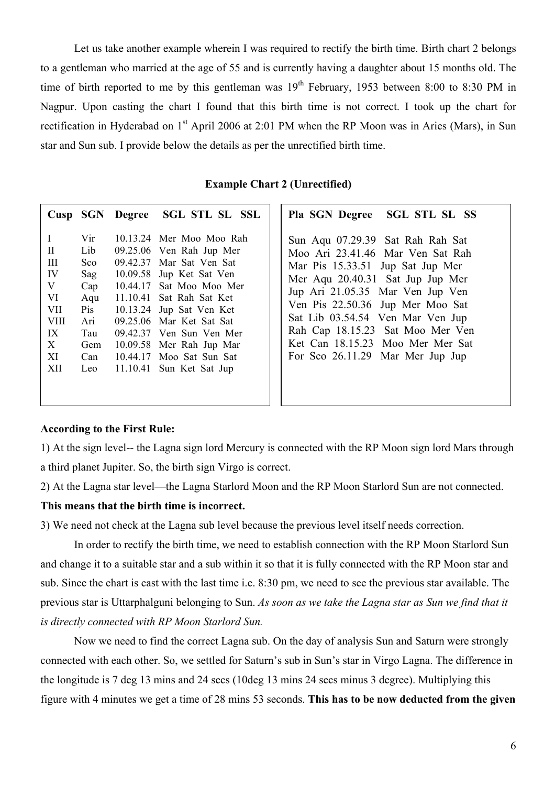Let us take another example wherein I was required to rectify the birth time. Birth chart 2 belongs to a gentleman who married at the age of 55 and is currently having a daughter about 15 months old. The time of birth reported to me by this gentleman was  $19<sup>th</sup>$  February, 1953 between 8:00 to 8:30 PM in Nagpur. Upon casting the chart I found that this birth time is not correct. I took up the chart for rectification in Hyderabad on 1<sup>st</sup> April 2006 at 2:01 PM when the RP Moon was in Aries (Mars), in Sun star and Sun sub. I provide below the details as per the unrectified birth time.

**Example Chart 2 (Unrectified)** 

|                                                                                                                                                                                      |                                                                                                                                                                                                                                                                                                                                                  | Cusp SGN Degree SGL STL SL SSL | Pla SGN Degree SGL STL SL SS                                                                                                                                                                                                                                                                                                                                         |
|--------------------------------------------------------------------------------------------------------------------------------------------------------------------------------------|--------------------------------------------------------------------------------------------------------------------------------------------------------------------------------------------------------------------------------------------------------------------------------------------------------------------------------------------------|--------------------------------|----------------------------------------------------------------------------------------------------------------------------------------------------------------------------------------------------------------------------------------------------------------------------------------------------------------------------------------------------------------------|
| $\mathbf{I}$<br>Vir<br>$\mathbf{I}$<br>Lib<br>Ш<br>Sco<br>IV<br>Sag<br>V<br>Cap<br>VI<br>Aqu<br><b>VII</b><br>Pis<br><b>VIII</b><br>Ari<br>IX<br>Tau<br>X<br>Gem<br>XI<br>Can<br>XII | 10.13.24 Mer Moo Moo Rah<br>09.25.06 Ven Rah Jup Mer<br>09.42.37 Mar Sat Ven Sat<br>10.09.58 Jup Ket Sat Ven<br>10.44.17 Sat Moo Moo Mer<br>11.10.41 Sat Rah Sat Ket<br>10.13.24 Jup Sat Ven Ket<br>09.25.06 Mar Ket Sat Sat<br>09.42.37 Ven Sun Ven Mer<br>10.09.58 Mer Rah Jup Mar<br>10.44.17 Moo Sat Sun Sat<br>Leo 11.10.41 Sun Ket Sat Jup |                                | Sun Aqu 07.29.39 Sat Rah Rah Sat<br>Moo Ari 23.41.46 Mar Ven Sat Rah<br>Mar Pis 15.33.51 Jup Sat Jup Mer<br>Mer Aqu 20.40.31 Sat Jup Jup Mer<br>Jup Ari 21.05.35 Mar Ven Jup Ven<br>Ven Pis 22.50.36 Jup Mer Moo Sat<br>Sat Lib 03.54.54 Ven Mar Ven Jup<br>Rah Cap 18.15.23 Sat Moo Mer Ven<br>Ket Can 18.15.23 Moo Mer Mer Sat<br>For Sco 26.11.29 Mar Mer Jup Jup |

#### **According to the First Rule:**

1) At the sign level-- the Lagna sign lord Mercury is connected with the RP Moon sign lord Mars through a third planet Jupiter. So, the birth sign Virgo is correct.

2) At the Lagna star level—the Lagna Starlord Moon and the RP Moon Starlord Sun are not connected.

### **This means that the birth time is incorrect.**

3) We need not check at the Lagna sub level because the previous level itself needs correction.

In order to rectify the birth time, we need to establish connection with the RP Moon Starlord Sun and change it to a suitable star and a sub within it so that it is fully connected with the RP Moon star and sub. Since the chart is cast with the last time i.e. 8:30 pm, we need to see the previous star available. The previous star is Uttarphalguni belonging to Sun. *As soon as we take the Lagna star as Sun we find that it is directly connected with RP Moon Starlord Sun.*

Now we need to find the correct Lagna sub. On the day of analysis Sun and Saturn were strongly connected with each other. So, we settled for Saturn's sub in Sun's star in Virgo Lagna. The difference in the longitude is 7 deg 13 mins and 24 secs (10deg 13 mins 24 secs minus 3 degree). Multiplying this figure with 4 minutes we get a time of 28 mins 53 seconds. **This has to be now deducted from the given**